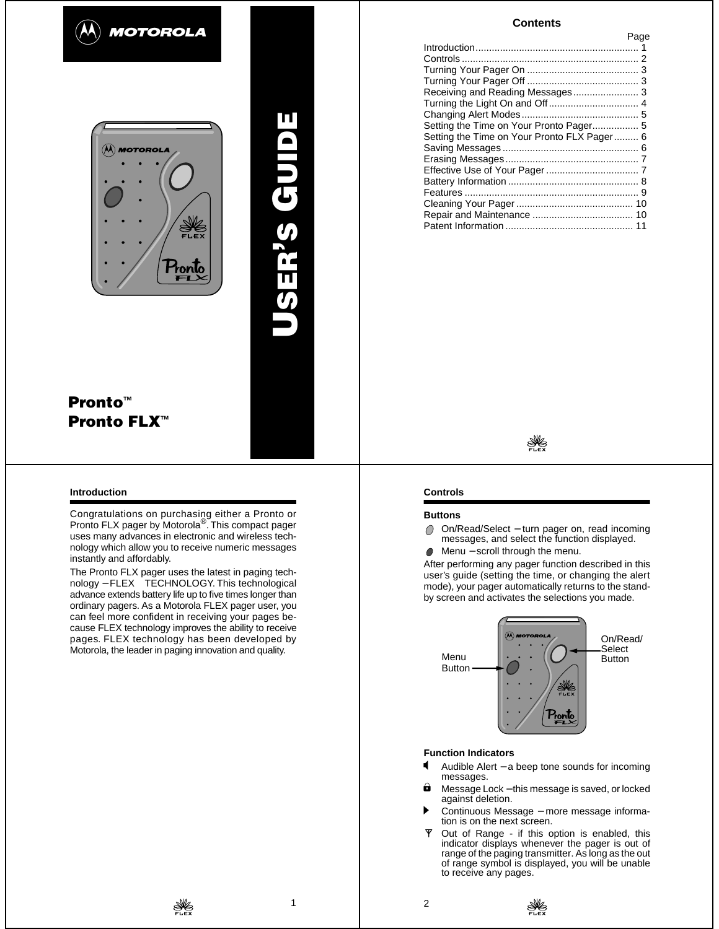



# **S GUIDE** п **USER '**

# **Pronto™ Pronto FLX™**

### **Introduction**

Congratulations on purchasing either a Pronto or Pronto FLX pager by Motorola®. This compact pager uses many advances in electronic and wireless technology which allow you to receive numeric messages instantly and affordably.

The Pronto FLX pager uses the latest in paging technology – FLEX<sup>™</sup> TECHNOLOGY. This technological advance extends battery life up to five times longer than ordinary pagers. As a Motorola FLEX pager user, you can feel more confident in receiving your pages because FLEX technology improves the ability to receive pages. FLEX technology has been developed by Motorola, the leader in paging innovation and quality.

### **Contents**

|                                             | Page |
|---------------------------------------------|------|
|                                             |      |
|                                             |      |
|                                             |      |
|                                             |      |
| Receiving and Reading Messages 3            |      |
|                                             |      |
|                                             |      |
| Setting the Time on Your Pronto Pager 5     |      |
| Setting the Time on Your Pronto FLX Pager 6 |      |
|                                             |      |
|                                             |      |
|                                             |      |
|                                             |      |
|                                             |      |
|                                             |      |
|                                             |      |
|                                             |      |
|                                             |      |

### **Controls**

### **Buttons**

On/Read/Select − turn pager on, read incoming O messages, and select the function displayed.

Menu − scroll through the menu.

After performing any pager function described in this user's guide (setting the time, or changing the alert mode), your pager automatically returns to the standby screen and activates the selections you made.



### **Function Indicators**

- Audible Alert a beep tone sounds for incoming messages.
- = Message Lock − this message is saved, or locked against deletion.
- Continuous Message more message information is on the next screen.
- $\Psi$  Out of Range if this option is enabled, this indicator displays whenever the pager is out of range of the paging transmitter. As long as the out of range symbol is displayed, you will be unable to receive any pages.

1

2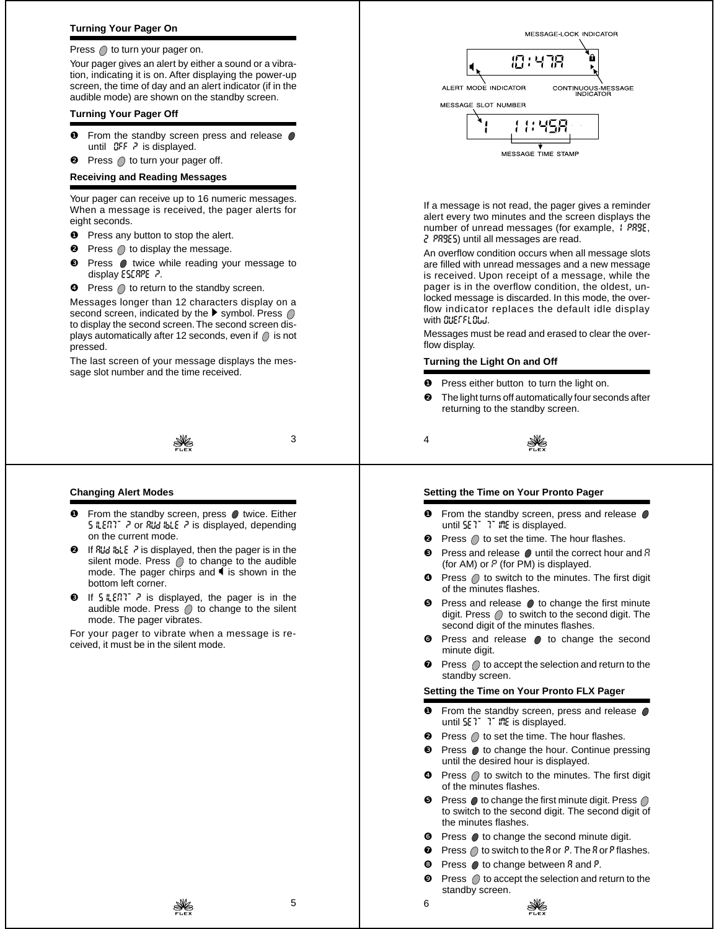### **Turning Your Pager On**

### Press  $\bigcirc$  to turn your pager on.

Your pager gives an alert by either a sound or a vibration, indicating it is on. After displaying the power-up screen, the time of day and an alert indicator (if in the audible mode) are shown on the standby screen.

### **Turning Your Pager Off**

- **O** From the standby screen press and release  $\bullet$ until OFF ? is displayed.
- $\bullet$  Press  $\bigcirc$  to turn your pager off.

### **Receiving and Reading Messages**

Your pager can receive up to 16 numeric messages. When a message is received, the pager alerts for eight seconds.

- **O** Press any button to stop the alert.
- $\bullet$  Press  $\bigcirc$  to display the message.
- **<sup>3</sup>** Press  $\bullet$  twice while reading your message to display  $ESTRPE$  ?.
- $\bullet$  Press  $\bigcirc$  to return to the standby screen.

Messages longer than 12 characters display on a second screen, indicated by the  $\blacktriangleright$  symbol. Press  $\bigcirc$ to display the second screen. The second screen displays automatically after 12 seconds, even if  $\bigcirc$  is not pressed.

The last screen of your message displays the message slot number and the time received.



### 3

### **Changing Alert Modes**

- $\bullet$  From the standby screen, press  $\bullet$  twice. Either  $5!$  LENT ? or RUd IbLE ? is displayed, depending on the current mode.
- $\odot$  If  $\frac{1}{2}$  is displayed, then the pager is in the silent mode. Press  $\bigcirc$  to change to the audible mode. The pager chirps and  $\P$  is shown in the bottom left corner.
- $\Theta$  If  $\frac{1}{2}$  is displayed, the pager is in the audible mode. Press  $\bigcirc$  to change to the silent mode. The pager vibrates.

For your pager to vibrate when a message is received, it must be in the silent mode.





If a message is not read, the pager gives a reminder alert every two minutes and the screen displays the number of unread messages (for example, 1 PRSE, 2 PR9E5) until all messages are read.

An overflow condition occurs when all message slots are filled with unread messages and a new message is received. Upon receipt of a message, while the pager is in the overflow condition, the oldest, unlocked message is discarded. In this mode, the overflow indicator replaces the default idle display with OUEFFLOW.

Messages must be read and erased to clear the overflow display.

### **Turning the Light On and Off**

- Press either button to turn the light on.
- ❷ The light turns off automatically four seconds after returning to the standby screen.
- 4



### **Setting the Time on Your Pronto Pager**

- **O** From the standby screen, press and release  $\bullet$ until SETT TTIME is displayed.
- Press  $\bigcap$  to set the time. The hour flashes.
- Press and release  $\bullet$  until the correct hour and  $R$ (for AM) or  $P$  (for PM) is displayed.
- $\bullet$  Press  $\bigcirc$  to switch to the minutes. The first digit of the minutes flashes.
- Press and release  $\bullet$  to change the first minute digit. Press  $\bigcirc$  to switch to the second digit. The second digit of the minutes flashes.
- **☉** Press and release to change the second minute digit.
- $\bullet$  Press  $\bigcirc$  to accept the selection and return to the standby screen.

### **Setting the Time on Your Pronto FLX Pager**

- **O** From the standby screen, press and release  $\bigcirc$ until SETTIT IT ITE is displayed.
- Press  $\bigcirc$  to set the time. The hour flashes.
- <sup>❸</sup> Press to change the hour. Continue pressing until the desired hour is displayed.
- $\bullet$  Press  $\bigcirc$  to switch to the minutes. The first digit of the minutes flashes.
- Press  $\bullet$  to change the first minute digit. Press  $\circ$ to switch to the second digit. The second digit of the minutes flashes.
- **☉** Press to change the second minute digit.
- $\odot$  Press  $\odot$  to switch to the R or P. The R or P flashes.
- $\bullet$  Press  $\bullet$  to change between  $R$  and  $P$ .
- $\bullet$  Press  $\bigcirc$  to accept the selection and return to the standby screen.

6

5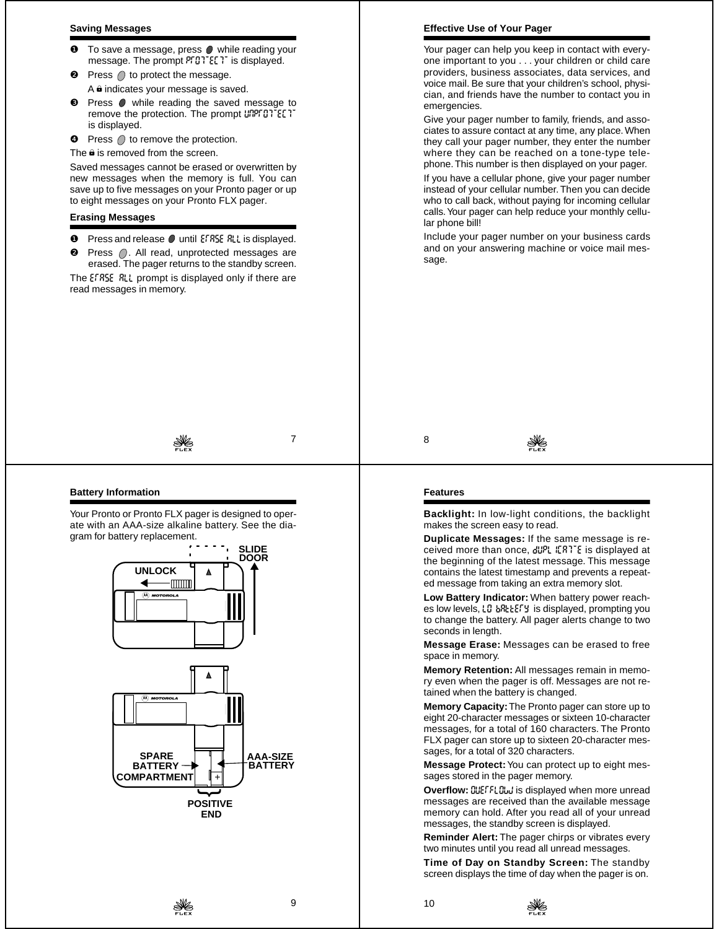### **Saving Messages**

- $\bullet$  To save a message, press  $\bullet$  while reading your message. The prompt PFDTECT is displayed.
- $\bullet$  Press  $\bigcirc$  to protect the message.  $A \hat{=}$  indicates your message is saved.
- <sup>●</sup> Press while reading the saved message to remove the protection. The prompt unprotTect is displayed.
- $\bullet$  Press  $\bigcap$  to remove the protection.
- The  $\hat{\mathbf{a}}$  is removed from the screen.

Saved messages cannot be erased or overwritten by new messages when the memory is full. You can save up to five messages on your Pronto pager or up to eight messages on your Pronto FLX pager.

### **Erasing Messages**

read messages in memory.

- $\bullet$  Press and release  $\bullet$  until  $EFRSE$   $RLL$  is displayed.
- <sup>9</sup> Press  $\bigcirc$ . All read, unprotected messages are erased. The pager returns to the standby screen. The EFRSE RLL prompt is displayed only if there are

## **Effective Use of Your Pager**

Your pager can help you keep in contact with everyone important to you . . . your children or child care providers, business associates, data services, and voice mail. Be sure that your children's school, physician, and friends have the number to contact you in emergencies.

Give your pager number to family, friends, and associates to assure contact at any time, any place. When they call your pager number, they enter the number where they can be reached on a tone-type telephone. This number is then displayed on your pager.

If you have a cellular phone, give your pager number instead of your cellular number. Then you can decide who to call back, without paying for incoming cellular calls. Your pager can help reduce your monthly cellular phone bill!

Include your pager number on your business cards and on your answering machine or voice mail message.

7

### **Battery Information**

Your Pronto or Pronto FLX pager is designed to operate with an AAA-size alkaline battery. See the diagram for battery replacement.





### **Features**

8

**Backlight:** In low-light conditions, the backlight makes the screen easy to read.

**Duplicate Messages:** If the same message is received more than once,  $d \mathcal{U}$ PL IERTE is displayed at the beginning of the latest message. This message contains the latest timestamp and prevents a repeated message from taking an extra memory slot.

**Low Battery Indicator:** When battery power reaches low levels,  $L_0$  ballets is displayed, prompting you to change the battery. All pager alerts change to two seconds in length.

**Message Erase:** Messages can be erased to free space in memory.

**Memory Retention:** All messages remain in memory even when the pager is off. Messages are not retained when the battery is changed.

**Memory Capacity:** The Pronto pager can store up to eight 20-character messages or sixteen 10-character messages, for a total of 160 characters. The Pronto FLX pager can store up to sixteen 20-character messages, for a total of 320 characters.

**Message Protect:** You can protect up to eight messages stored in the pager memory.

**Overflow: CUEFFLOW is displayed when more unread** messages are received than the available message memory can hold. After you read all of your unread messages, the standby screen is displayed.

**Reminder Alert:** The pager chirps or vibrates every two minutes until you read all unread messages.

**Time of Day on Standby Screen:** The standby screen displays the time of day when the pager is on.

10